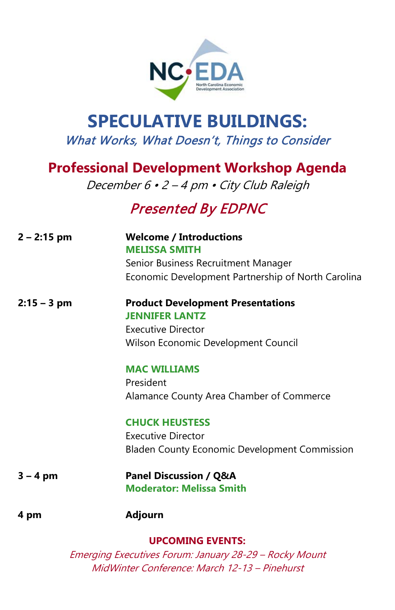

## **SPECULATIVE BUILDINGS:** What Works, What Doesn't, Things to Consider

## **Professional Development Workshop Agenda**

December 6 · 2 - 4 pm · City Club Raleigh

## Presented By EDPNC

| $2 - 2:15$ pm | <b>Welcome / Introductions</b><br><b>MELISSA SMITH</b>                                  |
|---------------|-----------------------------------------------------------------------------------------|
|               | Senior Business Recruitment Manager                                                     |
|               | Economic Development Partnership of North Carolina                                      |
| $2:15 - 3$ pm | <b>Product Development Presentations</b><br><b>JENNIFER LANTZ</b><br>Executive Director |
|               | Wilson Economic Development Council                                                     |
|               | <b>MAC WILLIAMS</b><br>President                                                        |
|               | Alamance County Area Chamber of Commerce                                                |
|               | <b>CHUCK HEUSTESS</b>                                                                   |
|               | Executive Director                                                                      |
|               | <b>Bladen County Economic Development Commission</b>                                    |
| $3 - 4$ pm    | <b>Panel Discussion / Q&amp;A</b><br><b>Moderator: Melissa Smith</b>                    |
| 4 pm          | <b>Adjourn</b>                                                                          |
|               | <b>UPCOMING EVENTS:</b>                                                                 |
|               | Emerging Executives Forum: January 28-29 - Rocky Mount                                  |

MidWinter Conference: March 12-13 – Pinehurst